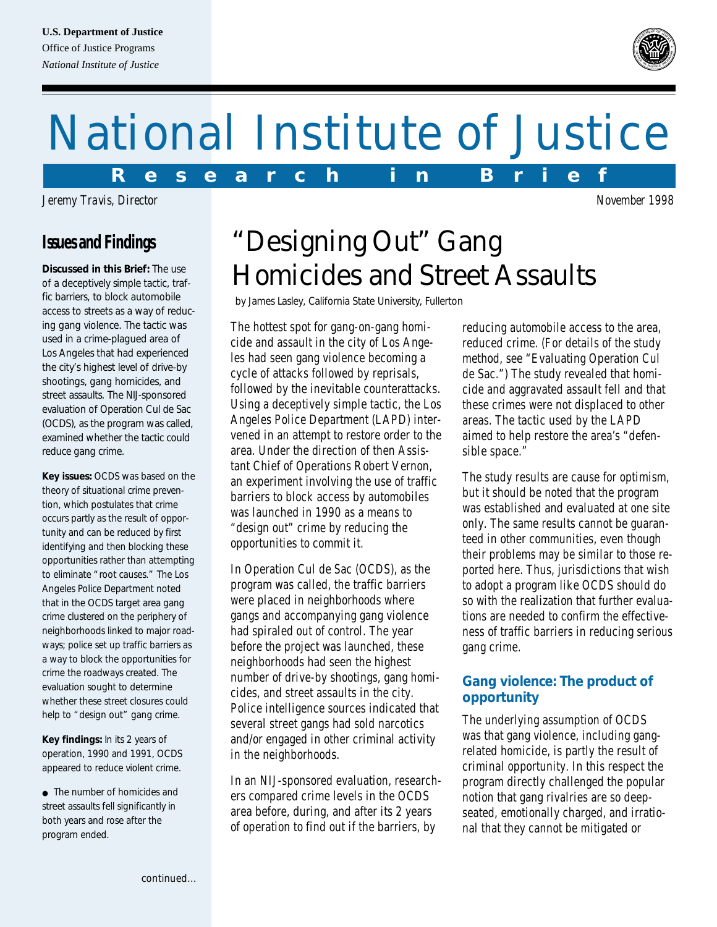# National Institute of Justice

**R e s e a r c h i n B r i e f**

*Jeremy Travis, Director*

# **Issues and Findings**

*Discussed in this Brief:* The use of a deceptively simple tactic, traffic barriers, to block automobile access to streets as a way of reducing gang violence. The tactic was used in a crime-plagued area of Los Angeles that had experienced the city's highest level of drive-by shootings, gang homicides, and street assaults. The NIJ-sponsored evaluation of Operation Cul de Sac (OCDS), as the program was called, examined whether the tactic could reduce gang crime.

*Key issues:* OCDS was based on the theory of situational crime prevention, which postulates that crime occurs partly as the result of opportunity and can be reduced by first identifying and then blocking these opportunities rather than attempting to eliminate "root causes." The Los Angeles Police Department noted that in the OCDS target area gang crime clustered on the periphery of neighborhoods linked to major roadways; police set up traffic barriers as a way to block the opportunities for crime the roadways created. The evaluation sought to determine whether these street closures could help to "design out" gang crime.

*Key findings:* In its 2 years of operation, 1990 and 1991, OCDS appeared to reduce violent crime.

● The number of homicides and street assaults fell significantly in both years and rose after the program ended.

# "Designing Out" Gang Homicides and Street Assaults

*by James Lasley, California State University, Fullerton*

The hottest spot for gang-on-gang homicide and assault in the city of Los Angeles had seen gang violence becoming a cycle of attacks followed by reprisals, followed by the inevitable counterattacks. Using a deceptively simple tactic, the Los Angeles Police Department (LAPD) intervened in an attempt to restore order to the area. Under the direction of then Assistant Chief of Operations Robert Vernon, an experiment involving the use of traffic barriers to block access by automobiles was launched in 1990 as a means to "design out" crime by reducing the opportunities to commit it.

In Operation Cul de Sac (OCDS), as the program was called, the traffic barriers were placed in neighborhoods where gangs and accompanying gang violence had spiraled out of control. The year before the project was launched, these neighborhoods had seen the highest number of drive-by shootings, gang homicides, and street assaults in the city. Police intelligence sources indicated that several street gangs had sold narcotics and/or engaged in other criminal activity in the neighborhoods.

In an NIJ-sponsored evaluation, researchers compared crime levels in the OCDS area before, during, and after its 2 years of operation to find out if the barriers, by

reducing automobile access to the area, reduced crime. (For details of the study method, see "Evaluating Operation Cul de Sac.") The study revealed that homicide and aggravated assault fell and that these crimes were not displaced to other areas. The tactic used by the LAPD aimed to help restore the area's "defensible space."

The study results are cause for optimism, but it should be noted that the program was established and evaluated at one site only. The same results cannot be guaranteed in other communities, even though their problems may be similar to those reported here. Thus, jurisdictions that wish to adopt a program like OCDS should do so with the realization that further evaluations are needed to confirm the effectiveness of traffic barriers in reducing serious gang crime.

# **Gang violence: The product of opportunity**

The underlying assumption of OCDS was that gang violence, including gangrelated homicide, is partly the result of criminal opportunity. In this respect the program directly challenged the popular notion that gang rivalries are so deepseated, emotionally charged, and irrational that they cannot be mitigated or



*November 1998*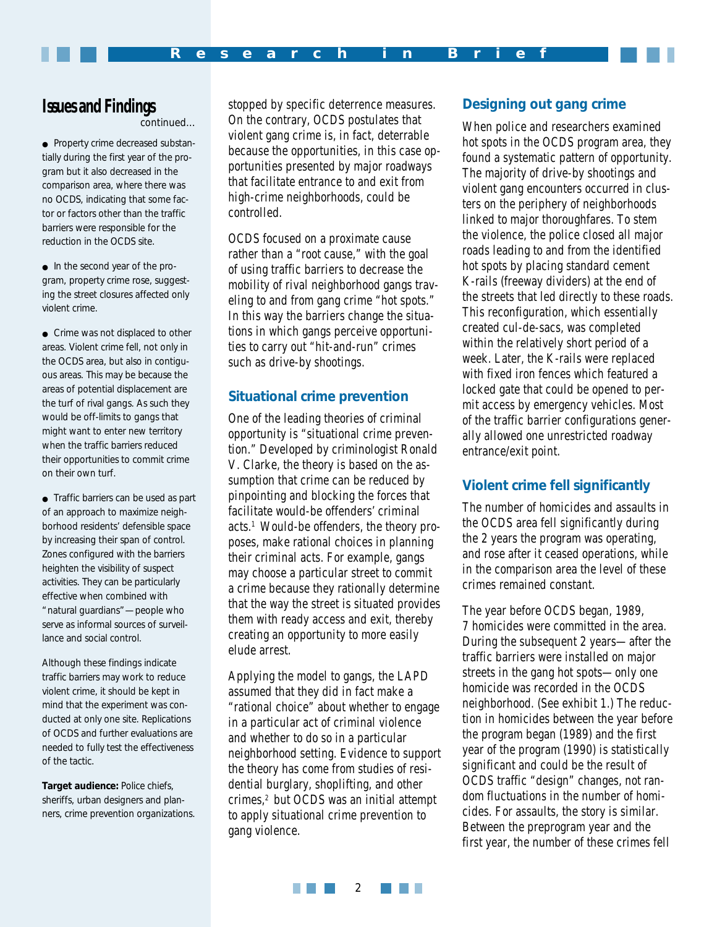# **Issues and Findings**

*continued…*

● Property crime decreased substantially during the first year of the program but it also decreased in the comparison area, where there was no OCDS, indicating that some factor or factors other than the traffic barriers were responsible for the reduction in the OCDS site.

● In the second year of the program, property crime rose, suggesting the street closures affected only violent crime.

● Crime was not displaced to other areas. Violent crime fell, not only in the OCDS area, but also in contiguous areas. This may be because the areas of potential displacement are the turf of rival gangs. As such they would be off-limits to gangs that might want to enter new territory when the traffic barriers reduced their opportunities to commit crime on their own turf.

● Traffic barriers can be used as part of an approach to maximize neighborhood residents' defensible space by increasing their span of control. Zones configured with the barriers heighten the visibility of suspect activities. They can be particularly effective when combined with "natural guardians"—people who serve as informal sources of surveillance and social control.

Although these findings indicate traffic barriers may work to reduce violent crime, it should be kept in mind that the experiment was conducted at only one site. Replications of OCDS and further evaluations are needed to fully test the effectiveness of the tactic.

*Target audience:* Police chiefs, sheriffs, urban designers and planners, crime prevention organizations. stopped by specific deterrence measures. On the contrary, OCDS postulates that violent gang crime is, in fact, deterrable because the opportunities, in this case opportunities presented by major roadways that facilitate entrance to and exit from high-crime neighborhoods, could be controlled.

OCDS focused on a proximate cause rather than a "root cause," with the goal of using traffic barriers to decrease the mobility of rival neighborhood gangs traveling to and from gang crime "hot spots." In this way the barriers change the situations in which gangs perceive opportunities to carry out "hit-and-run" crimes such as drive-by shootings.

#### **Situational crime prevention**

One of the leading theories of criminal opportunity is "situational crime prevention." Developed by criminologist Ronald V. Clarke, the theory is based on the assumption that crime can be reduced by pinpointing and blocking the forces that facilitate would-be offenders' criminal acts.1 Would-be offenders, the theory proposes, make rational choices in planning their criminal acts. For example, gangs may choose a particular street to commit a crime because they rationally determine that the way the street is situated provides them with ready access and exit, thereby creating an opportunity to more easily elude arrest.

Applying the model to gangs, the LAPD assumed that they did in fact make a "rational choice" about whether to engage in a particular act of criminal violence and whether to do so in a particular neighborhood setting. Evidence to support the theory has come from studies of residential burglary, shoplifting, and other crimes,<sup>2</sup> but OCDS was an initial attempt to apply situational crime prevention to gang violence.

#### **Designing out gang crime**

When police and researchers examined hot spots in the OCDS program area, they found a systematic pattern of opportunity. The majority of drive-by shootings and violent gang encounters occurred in clusters on the periphery of neighborhoods linked to major thoroughfares. To stem the violence, the police closed all major roads leading to and from the identified hot spots by placing standard cement K-rails (freeway dividers) at the end of the streets that led directly to these roads. This reconfiguration, which essentially created cul-de-sacs, was completed within the relatively short period of a week. Later, the K-rails were replaced with fixed iron fences which featured a locked gate that could be opened to permit access by emergency vehicles. Most of the traffic barrier configurations generally allowed one unrestricted roadway entrance/exit point.

#### **Violent crime fell significantly**

The number of homicides and assaults in the OCDS area fell significantly during the 2 years the program was operating, and rose after it ceased operations, while in the comparison area the level of these crimes remained constant.

The year before OCDS began, 1989, 7 homicides were committed in the area. During the subsequent 2 years—after the traffic barriers were installed on major streets in the gang hot spots—only one homicide was recorded in the OCDS neighborhood. (See exhibit 1.) The reduction in homicides between the year before the program began (1989) and the first year of the program (1990) is statistically significant and could be the result of OCDS traffic "design" changes, not random fluctuations in the number of homicides. For assaults, the story is similar. Between the preprogram year and the first year, the number of these crimes fell

2 . . a di kacamatan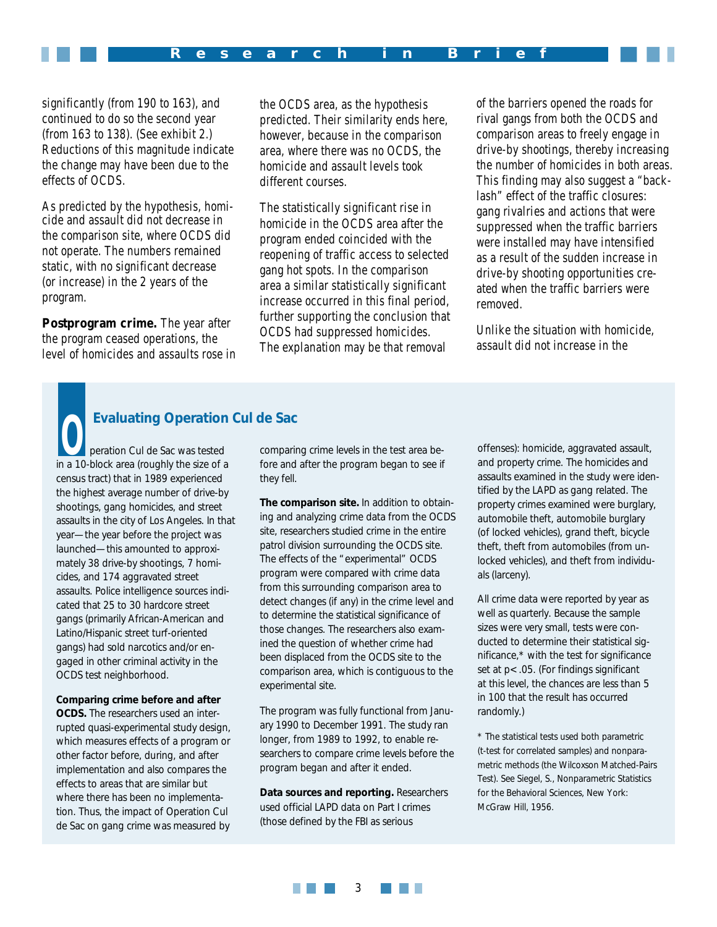

significantly (from 190 to 163), and continued to do so the second year (from 163 to 138). (See exhibit 2.) Reductions of this magnitude indicate the change may have been due to the effects of OCDS.

As predicted by the hypothesis, homicide and assault did not decrease in the comparison site, where OCDS did not operate. The numbers remained static, with no significant decrease (or increase) in the 2 years of the program.

**Postprogram crime.** The year after the program ceased operations, the level of homicides and assaults rose in the OCDS area, as the hypothesis predicted. Their similarity ends here, however, because in the comparison area, where there was no OCDS, the homicide and assault levels took different courses.

The statistically significant rise in homicide in the OCDS area after the program ended coincided with the reopening of traffic access to selected gang hot spots. In the comparison area a similar statistically significant increase occurred in this final period, further supporting the conclusion that OCDS had suppressed homicides. The explanation may be that removal

of the barriers opened the roads for rival gangs from both the OCDS and comparison areas to freely engage in drive-by shootings, thereby increasing the number of homicides in both areas. This finding may also suggest a "backlash" effect of the traffic closures: gang rivalries and actions that were suppressed when the traffic barriers were installed may have intensified as a result of the sudden increase in drive-by shooting opportunities created when the traffic barriers were removed.

Unlike the situation with homicide, assault did not increase in the

# **Evaluating Operation Cul de Sac**

peration Cul de Sac was tested in a 10-block area (roughly the size of a census tract) that in 1989 experienced the highest average number of drive-by shootings, gang homicides, and street assaults in the city of Los Angeles. In that year—the year before the project was launched—this amounted to approximately 38 drive-by shootings, 7 homicides, and 174 aggravated street assaults. Police intelligence sources indicated that 25 to 30 hardcore street gangs (primarily African-American and Latino/Hispanic street turf-oriented gangs) had sold narcotics and/or engaged in other criminal activity in the OCDS test neighborhood.

#### **Comparing crime before and after**

**OCDS.** The researchers used an interrupted quasi-experimental study design, which measures effects of a program or other factor before, during, and after implementation and also compares the effects to areas that are similar but where there has been no implementation. Thus, the impact of Operation Cul de Sac on gang crime was measured by comparing crime levels in the test area before and after the program began to see if they fell.

**The comparison site.** In addition to obtaining and analyzing crime data from the OCDS site, researchers studied crime in the entire patrol division surrounding the OCDS site. The effects of the "experimental" OCDS program were compared with crime data from this surrounding comparison area to detect changes (if any) in the crime level and to determine the statistical significance of those changes. The researchers also examined the question of whether crime had been displaced from the OCDS site to the comparison area, which is contiguous to the experimental site.

The program was fully functional from January 1990 to December 1991. The study ran longer, from 1989 to 1992, to enable researchers to compare crime levels before the program began and after it ended.

**Data sources and reporting.** Researchers used official LAPD data on Part I crimes (those defined by the FBI as serious

offenses): homicide, aggravated assault, and property crime. The homicides and assaults examined in the study were identified by the LAPD as gang related. The property crimes examined were burglary, automobile theft, automobile burglary (of locked vehicles), grand theft, bicycle theft, theft from automobiles (from unlocked vehicles), and theft from individuals (larceny).

All crime data were reported by year as well as quarterly. Because the sample sizes were very small, tests were conducted to determine their statistical significance,\* with the test for significance set at p< .05. (For findings significant at this level, the chances are less than 5 in 100 that the result has occurred randomly.)

\* The statistical tests used both parametric (t-test for correlated samples) and nonparametric methods (the Wilcoxson Matched-Pairs Test). See Siegel, S., *Nonparametric Statistics for the Behavioral Sciences*, New York: McGraw Hill, 1956.

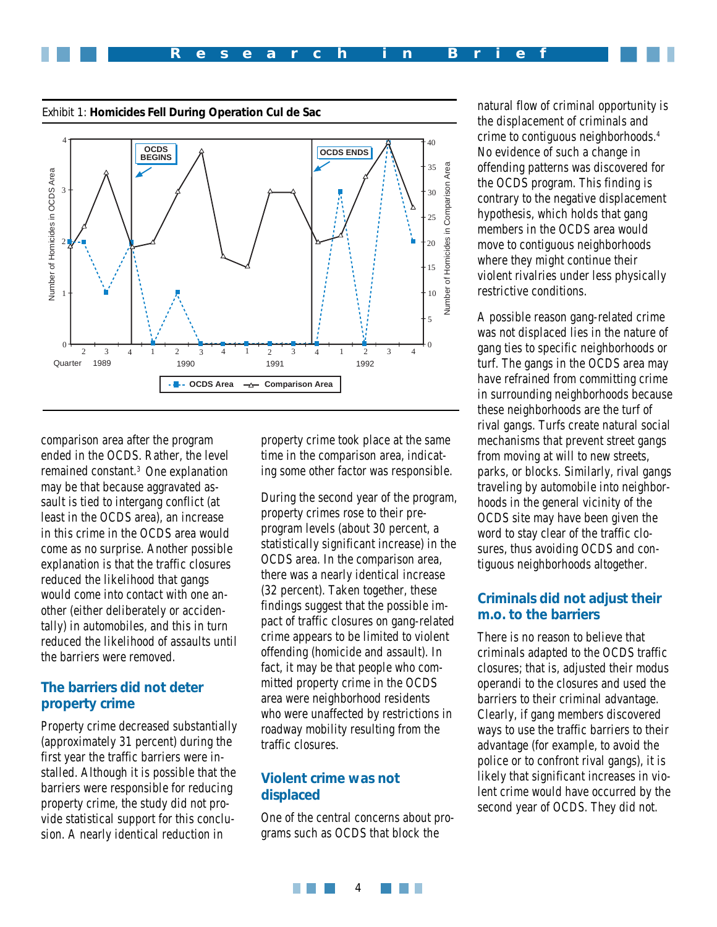

comparison area after the program ended in the OCDS. Rather, the level remained constant.3 One explanation may be that because aggravated assault is tied to intergang conflict (at least in the OCDS area), an increase in this crime in the OCDS area would come as no surprise. Another possible explanation is that the traffic closures reduced the likelihood that gangs would come into contact with one another (either deliberately or accidentally) in automobiles, and this in turn reduced the likelihood of assaults until the barriers were removed.

# **The barriers did not deter property crime**

Property crime decreased substantially (approximately 31 percent) during the first year the traffic barriers were installed. Although it is possible that the barriers were responsible for reducing property crime, the study did not provide statistical support for this conclusion. A nearly identical reduction in

property crime took place at the same time in the comparison area, indicating some other factor was responsible.

During the second year of the program, property crimes rose to their preprogram levels (about 30 percent, a statistically significant increase) in the OCDS area. In the comparison area, there was a nearly identical increase (32 percent). Taken together, these findings suggest that the possible impact of traffic closures on gang-related crime appears to be limited to violent offending (homicide and assault). In fact, it may be that people who committed property crime in the OCDS area were neighborhood residents who were unaffected by restrictions in roadway mobility resulting from the traffic closures.

# **Violent crime was not displaced**

One of the central concerns about programs such as OCDS that block the

natural flow of criminal opportunity is the displacement of criminals and crime to contiguous neighborhoods.4 No evidence of such a change in offending patterns was discovered for the OCDS program. This finding is contrary to the negative displacement hypothesis, which holds that gang members in the OCDS area would move to contiguous neighborhoods where they might continue their violent rivalries under less physically restrictive conditions.

A possible reason gang-related crime was not displaced lies in the nature of gang ties to specific neighborhoods or turf. The gangs in the OCDS area may have refrained from committing crime in surrounding neighborhoods because these neighborhoods are the turf of rival gangs. Turfs create natural social mechanisms that prevent street gangs from moving at will to new streets, parks, or blocks. Similarly, rival gangs traveling by automobile into neighborhoods in the general vicinity of the OCDS site may have been given the word to stay clear of the traffic closures, thus avoiding OCDS and contiguous neighborhoods altogether.

# **Criminals did not adjust their m.o. to the barriers**

There is no reason to believe that criminals adapted to the OCDS traffic closures; that is, adjusted their modus operandi to the closures and used the barriers to their criminal advantage. Clearly, if gang members discovered ways to use the traffic barriers to their advantage (for example, to avoid the police or to confront rival gangs), it is likely that significant increases in violent crime would have occurred by the second year of OCDS. They did not.

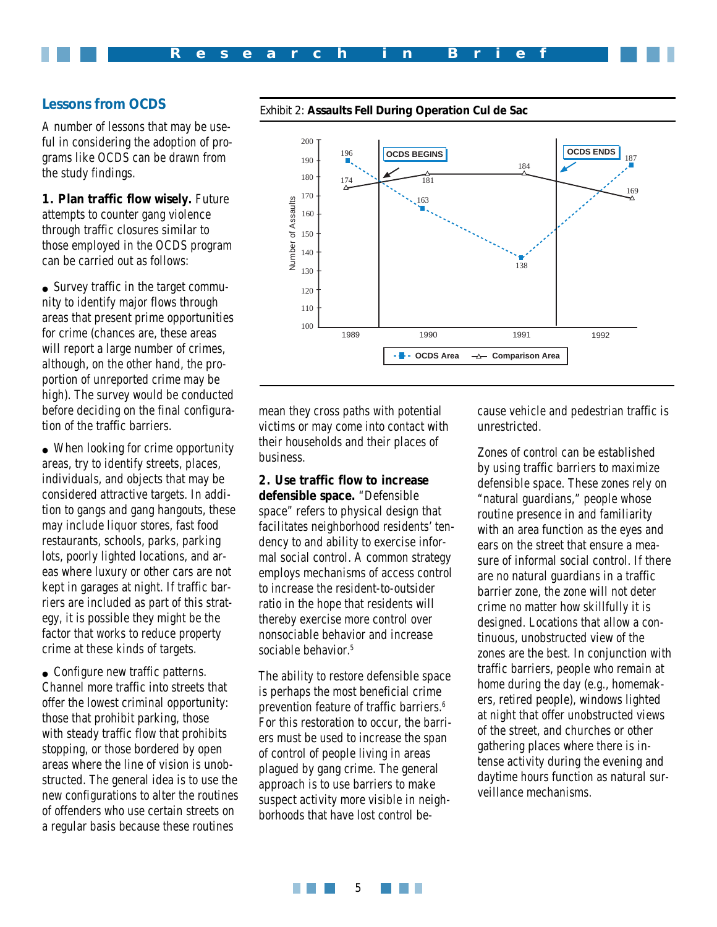

#### **Lessons from OCDS**

A number of lessons that may be useful in considering the adoption of programs like OCDS can be drawn from the study findings.

**1. Plan traffic flow wisely.** Future attempts to counter gang violence through traffic closures similar to those employed in the OCDS program can be carried out as follows:

● Survey traffic in the target community to identify major flows through areas that present prime opportunities for crime (chances are, these areas will report a large number of crimes, although, on the other hand, the proportion of unreported crime may be high). The survey would be conducted before deciding on the final configuration of the traffic barriers.

• When looking for crime opportunity areas, try to identify streets, places, individuals, and objects that may be considered attractive targets. In addition to gangs and gang hangouts, these may include liquor stores, fast food restaurants, schools, parks, parking lots, poorly lighted locations, and areas where luxury or other cars are not kept in garages at night. If traffic barriers are included as part of this strategy, it is possible they might be the factor that works to reduce property crime at these kinds of targets.

● Configure new traffic patterns. Channel more traffic into streets that offer the lowest criminal opportunity: those that prohibit parking, those with steady traffic flow that prohibits stopping, or those bordered by open areas where the line of vision is unobstructed. The general idea is to use the new configurations to alter the routines of offenders who use certain streets on a regular basis because these routines



*Exhibit 2: Assaults Fell During Operation Cul de Sac*

mean they cross paths with potential victims or may come into contact with their households and their places of business.

**2. Use traffic flow to increase defensible space.** "Defensible space" refers to physical design that facilitates neighborhood residents' tendency to and ability to exercise informal social control. A common strategy employs mechanisms of access control to increase the resident-to-outsider ratio in the hope that residents will thereby exercise more control over nonsociable behavior and increase sociable behavior.<sup>5</sup>

The ability to restore defensible space is perhaps the most beneficial crime prevention feature of traffic barriers.6 For this restoration to occur, the barriers must be used to increase the span of control of people living in areas plagued by gang crime. The general approach is to use barriers to make suspect activity more visible in neighborhoods that have lost control because vehicle and pedestrian traffic is unrestricted.

Zones of control can be established by using traffic barriers to maximize defensible space. These zones rely on "natural guardians," people whose routine presence in and familiarity with an area function as the eyes and ears on the street that ensure a measure of informal social control. If there are no natural guardians in a traffic barrier zone, the zone will not deter crime no matter how skillfully it is designed. Locations that allow a continuous, unobstructed view of the zones are the best. In conjunction with traffic barriers, people who remain at home during the day (e.g., homemakers, retired people), windows lighted at night that offer unobstructed views of the street, and churches or other gathering places where there is intense activity during the evening and daytime hours function as natural surveillance mechanisms.